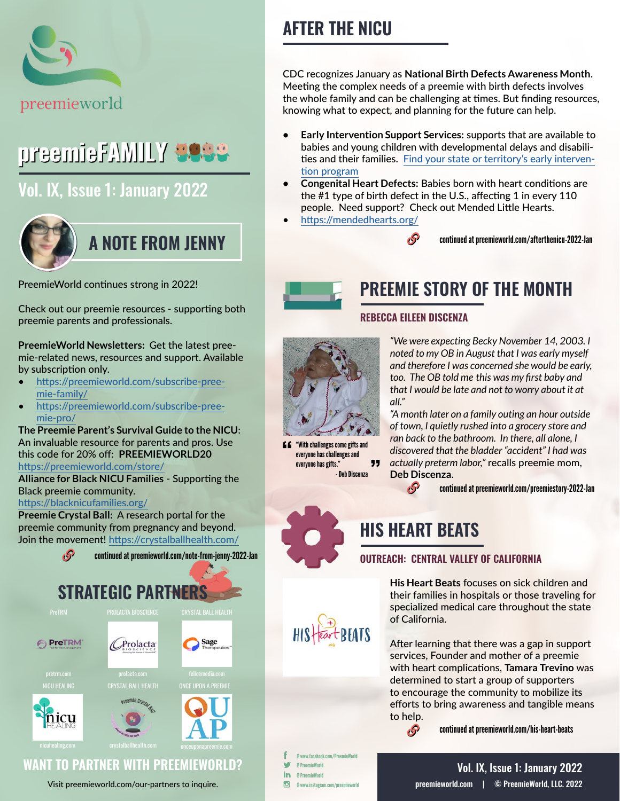

# preemieFAMILY **Eese**

## [Vol. IX, Issue 1: January 2022](https://preemieworld.com/preemie-family-digital-issues/)



#### PreemieWorld continues strong in 2022!

Check out our preemie resources - supporting both preemie parents and professionals.

**PreemieWorld Newsletters:** Get the latest preemie-related news, resources and support. Available by subscription only.

- [https://preemieworld.com/subscribe-pree](https://preemieworld.com/subscribe-preemie-family/)[mie-family/](https://preemieworld.com/subscribe-preemie-family/)
- [https://preemieworld.com/subscribe-pree](https://preemieworld.com/subscribe-preemie-pro/)[mie-pro/](https://preemieworld.com/subscribe-preemie-pro/)

**The Preemie Parent's Survival Guide to the NICU**: An invaluable resource for parents and pros. Use this code for 20% off: **PREEMIEWORLD20** <https://preemieworld.com/store/>

**Alliance for Black NICU Families** - Supporting the Black preemie community.

<https://blacknicufamilies.org/>

**Preemie Crystal Ball:** A research portal for the preemie community from pregnancy and beyond. Join the movement!<https://crystalballhealth.com/>



#### Visit [preemieworld.com/our-partners](https://preemieworld.com/our-partners) to inquire.

# **AFTER THE NICU**

CDC recognizes January as **National Birth Defects Awareness Month**. Meeting the complex needs of a preemie with birth defects involves the whole family and can be challenging at times. But finding resources, knowing what to expect, and planning for the future can help.

- **• Early Intervention Support Services:** supports that are available to babies and young children with developmental delays and disabilities and their families. [Find your state or territory's early interven](https://www.cdc.gov/ncbddd/actearly/parents/states.html#textlinks)[tion program](https://www.cdc.gov/ncbddd/actearly/parents/states.html#textlinks)
- **• Congenital Heart Defects:** Babies born with heart conditions are the #1 type of birth defect in the U.S., affecting 1 in every 110 people. Need support? Check out Mended Little Hearts.
- <https://mendedhearts.org/>

continued a[t preemieworld.com/afterthenicu-2022-Jan](https://preemieworld.com/afterthenicu-2022-Jan ) 



# **PREEMIE STORY OF THE MONTH**

#### **REBECCA EILEEN DISCENZA**

 $\mathcal{S}$ 



"With challenges come gifts and everyone has challenges and " everyone has gifts." - Deb Discenza

*"We were expecting Becky November 14, 2003. I noted to my OB in August that I was early myself and therefore I was concerned she would be early, too. The OB told me this was my first baby and that I would be late and not to worry about it at all."* 

*"A month later on a family outing an hour outside of town, I quietly rushed into a grocery store and ran back to the bathroom. In there, all alone, I discovered that the bladder "accident" I had was actually preterm labor,"* recalls preemie mom, **Deb Discenza**.

continued at [preemieworld.com/preemiestory-2022-Jan](https://preemieworld.com/preemiestory-2022-Jan)



 $\mathcal{S}$ 

<sub>t</sub>s

#### **OUTREACH: CENTRAL VALLEY OF CALIFORNIA**

**His Heart Beats** focuses on sick children and their families in hospitals or those traveling for specialized medical care throughout the state of California.

After learning that there was a gap in support services, Founder and mother of a preemie with heart complications, **Tamara Trevino** was determined to start a group of supporters to encourage the community to mobilize its efforts to bring awareness and tangible means to help.

continued at [preemieworld.com/h](https://preemieworld.com/his-heart-beats)is-heart-beats

@ www.facebook.com/PreemieWorld @ PreemieWorld in @ PreemieWorld  $\overline{G}$ @ www.instagram.com/preemieworld